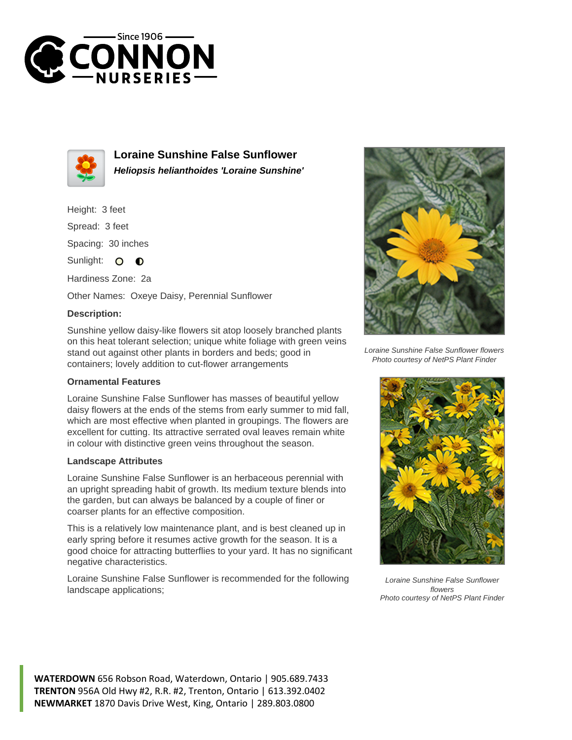



**Loraine Sunshine False Sunflower Heliopsis helianthoides 'Loraine Sunshine'**

Height: 3 feet Spread: 3 feet Spacing: 30 inches Sunlight: O **O** 

Hardiness Zone: 2a

Other Names: Oxeye Daisy, Perennial Sunflower

## **Description:**

Sunshine yellow daisy-like flowers sit atop loosely branched plants on this heat tolerant selection; unique white foliage with green veins stand out against other plants in borders and beds; good in containers; lovely addition to cut-flower arrangements

## **Ornamental Features**

Loraine Sunshine False Sunflower has masses of beautiful yellow daisy flowers at the ends of the stems from early summer to mid fall, which are most effective when planted in groupings. The flowers are excellent for cutting. Its attractive serrated oval leaves remain white in colour with distinctive green veins throughout the season.

## **Landscape Attributes**

Loraine Sunshine False Sunflower is an herbaceous perennial with an upright spreading habit of growth. Its medium texture blends into the garden, but can always be balanced by a couple of finer or coarser plants for an effective composition.

This is a relatively low maintenance plant, and is best cleaned up in early spring before it resumes active growth for the season. It is a good choice for attracting butterflies to your yard. It has no significant negative characteristics.

Loraine Sunshine False Sunflower is recommended for the following landscape applications;



Loraine Sunshine False Sunflower flowers Photo courtesy of NetPS Plant Finder



Loraine Sunshine False Sunflower flowers Photo courtesy of NetPS Plant Finder

**WATERDOWN** 656 Robson Road, Waterdown, Ontario | 905.689.7433 **TRENTON** 956A Old Hwy #2, R.R. #2, Trenton, Ontario | 613.392.0402 **NEWMARKET** 1870 Davis Drive West, King, Ontario | 289.803.0800